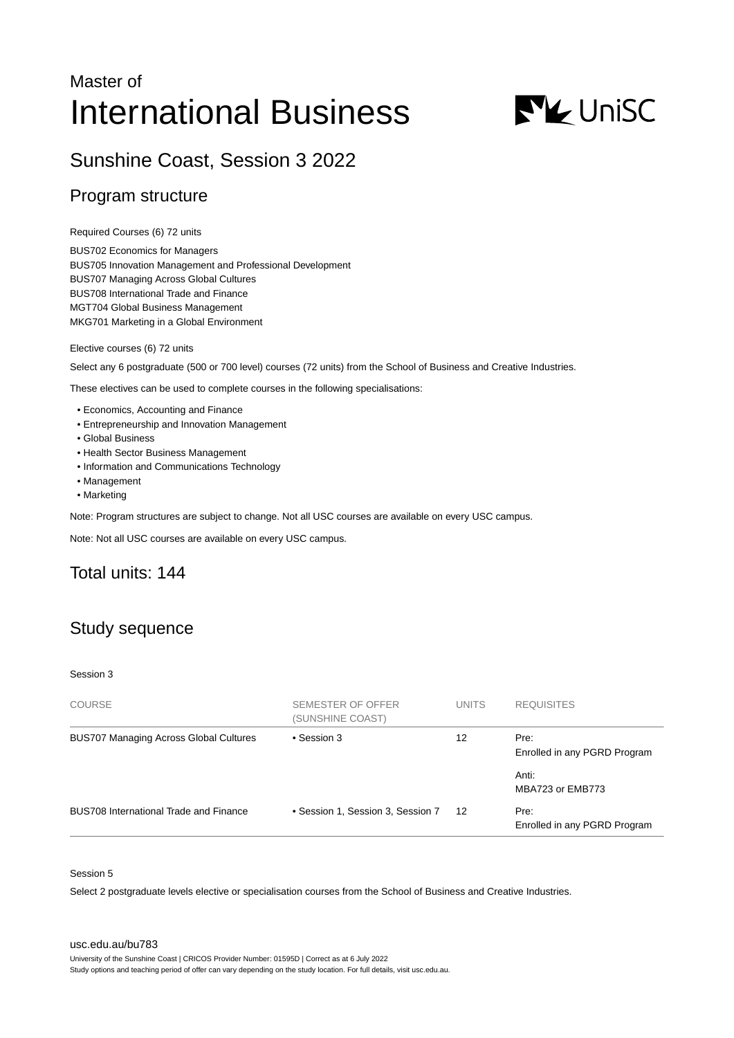# Master of International Business



# Sunshine Coast, Session 3 2022

### Program structure

Required Courses (6) 72 units

BUS702 Economics for Managers BUS705 Innovation Management and Professional Development BUS707 Managing Across Global Cultures BUS708 International Trade and Finance MGT704 Global Business Management MKG701 Marketing in a Global Environment

Elective courses (6) 72 units

Select any 6 postgraduate (500 or 700 level) courses (72 units) from the School of Business and Creative Industries.

These electives can be used to complete courses in the following specialisations:

- Economics, Accounting and Finance
- Entrepreneurship and Innovation Management
- Global Business
- Health Sector Business Management
- Information and Communications Technology
- Management
- Marketing

Note: Program structures are subject to change. Not all USC courses are available on every USC campus.

Note: Not all USC courses are available on every USC campus.

# Total units: 144

# Study sequence

#### Session 3

| <b>COURSE</b>                                 | SEMESTER OF OFFER<br>(SUNSHINE COAST) | <b>UNITS</b> | <b>REQUISITES</b>                    |
|-----------------------------------------------|---------------------------------------|--------------|--------------------------------------|
| <b>BUS707 Managing Across Global Cultures</b> | • Session 3                           | 12           | Pre:<br>Enrolled in any PGRD Program |
|                                               |                                       |              | Anti:<br>MBA723 or EMB773            |
| BUS708 International Trade and Finance        | • Session 1, Session 3, Session 7     | 12           | Pre:<br>Enrolled in any PGRD Program |

#### Session 5

Select 2 postgraduate levels elective or specialisation courses from the School of Business and Creative Industries.

[usc.edu.au/bu783](https://www.usc.edu.au/bu783)

University of the Sunshine Coast | CRICOS Provider Number: 01595D | Correct as at 6 July 2022

Study options and teaching period of offer can vary depending on the study location. For full details, visit usc.edu.au.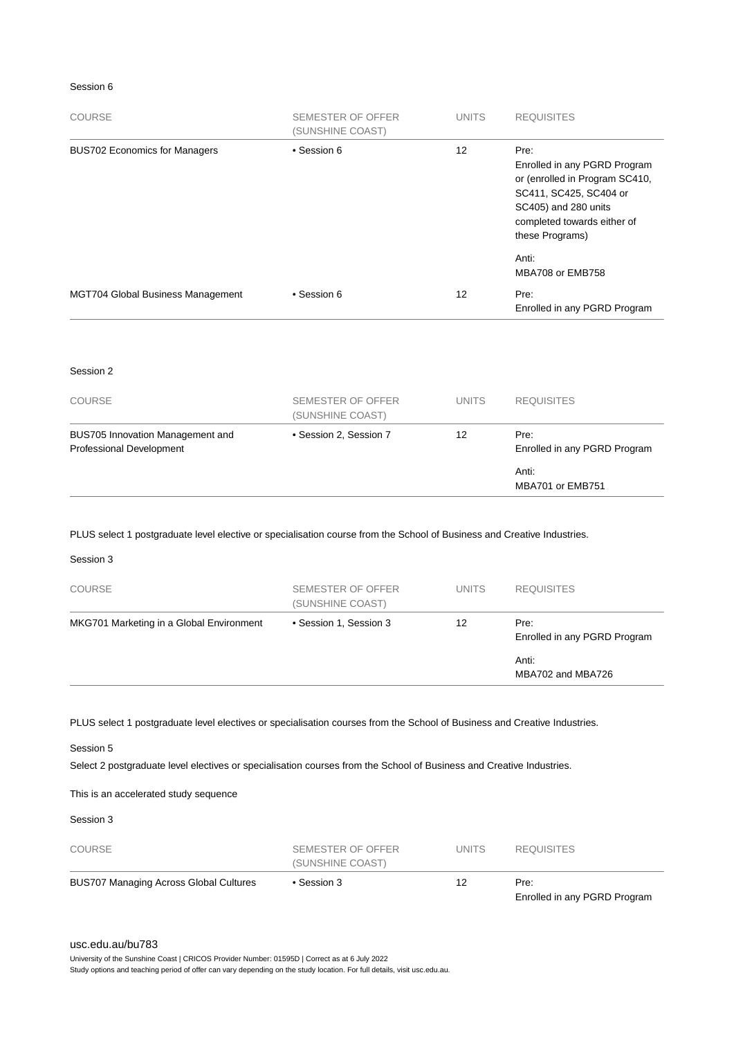#### Session 6

| <b>COURSE</b>                            | <b>SEMESTER OF OFFER</b><br>(SUNSHINE COAST) | <b>UNITS</b> | <b>REQUISITES</b>                                                                                                                                                          |
|------------------------------------------|----------------------------------------------|--------------|----------------------------------------------------------------------------------------------------------------------------------------------------------------------------|
| <b>BUS702 Economics for Managers</b>     | • Session 6                                  | 12           | Pre:<br>Enrolled in any PGRD Program<br>or (enrolled in Program SC410,<br>SC411, SC425, SC404 or<br>SC405) and 280 units<br>completed towards either of<br>these Programs) |
|                                          |                                              |              | Anti:<br>MBA708 or EMB758                                                                                                                                                  |
| <b>MGT704 Global Business Management</b> | • Session 6                                  | 12           | Pre:<br>Enrolled in any PGRD Program                                                                                                                                       |

#### Session 2

| <b>COURSE</b>                                                | SEMESTER OF OFFER<br>(SUNSHINE COAST) | <b>UNITS</b> | <b>REQUISITES</b>                    |
|--------------------------------------------------------------|---------------------------------------|--------------|--------------------------------------|
| BUS705 Innovation Management and<br>Professional Development | • Session 2, Session 7                | 12           | Pre:<br>Enrolled in any PGRD Program |
|                                                              |                                       |              | Anti:<br>MBA701 or EMB751            |

#### PLUS select 1 postgraduate level elective or specialisation course from the School of Business and Creative Industries.

| Session 3                                |                                       |              |                                      |
|------------------------------------------|---------------------------------------|--------------|--------------------------------------|
| <b>COURSE</b>                            | SEMESTER OF OFFER<br>(SUNSHINE COAST) | <b>UNITS</b> | <b>REQUISITES</b>                    |
| MKG701 Marketing in a Global Environment | • Session 1, Session 3                | 12           | Pre:<br>Enrolled in any PGRD Program |
|                                          |                                       |              | Anti:<br>MBA702 and MBA726           |
|                                          |                                       |              |                                      |

PLUS select 1 postgraduate level electives or specialisation courses from the School of Business and Creative Industries.

Session 5

Select 2 postgraduate level electives or specialisation courses from the School of Business and Creative Industries.

This is an accelerated study sequence

Session 3

| <b>COURSE</b>                                 | SEMESTER OF OFFER<br>(SUNSHINE COAST) | <b>UNITS</b> | <b>REQUISITES</b>                    |
|-----------------------------------------------|---------------------------------------|--------------|--------------------------------------|
| <b>BUS707 Managing Across Global Cultures</b> | $\bullet$ Session 3                   | 12           | Pre:<br>Enrolled in any PGRD Program |

#### [usc.edu.au/bu783](https://www.usc.edu.au/bu783)

University of the Sunshine Coast | CRICOS Provider Number: 01595D | Correct as at 6 July 2022 Study options and teaching period of offer can vary depending on the study location. For full details, visit usc.edu.au.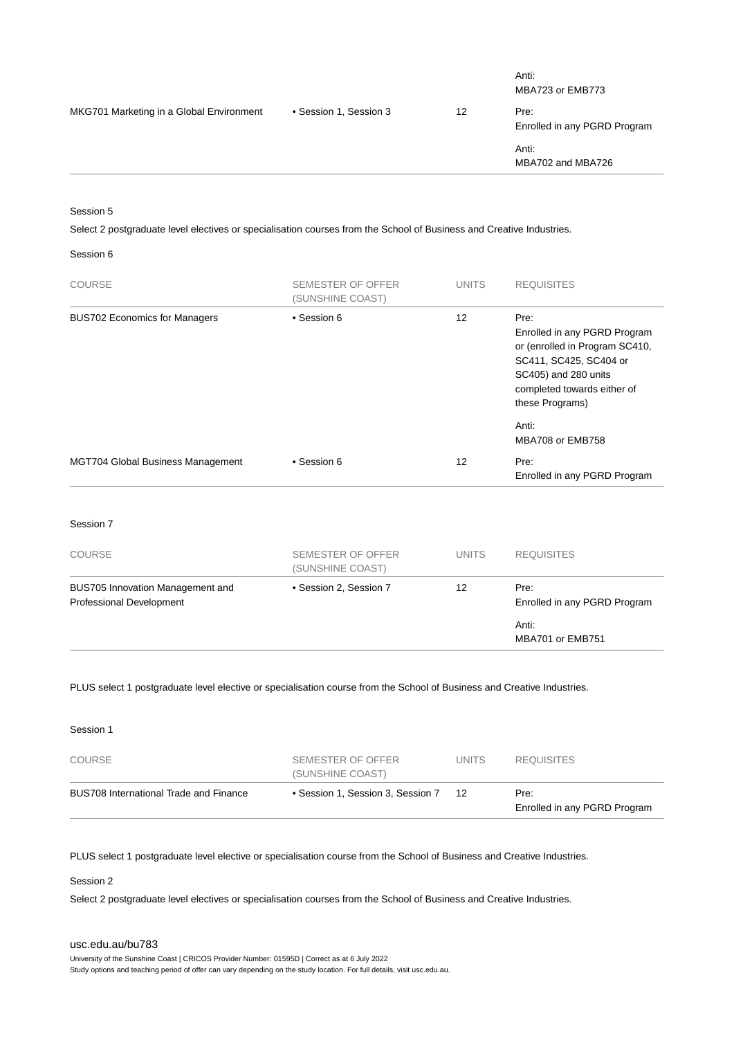|                        |    | Anti:<br>MBA723 or EMB773            |
|------------------------|----|--------------------------------------|
| • Session 1, Session 3 | 12 | Pre:<br>Enrolled in any PGRD Program |
|                        |    | Anti:<br>MBA702 and MBA726           |
|                        |    |                                      |

Session 5

Select 2 postgraduate level electives or specialisation courses from the School of Business and Creative Industries.

Session 6

| <b>COURSE</b>                        | <b>SEMESTER OF OFFER</b><br>(SUNSHINE COAST) | <b>UNITS</b> | <b>REQUISITES</b>                                                                                                                                                                   |
|--------------------------------------|----------------------------------------------|--------------|-------------------------------------------------------------------------------------------------------------------------------------------------------------------------------------|
| <b>BUS702 Economics for Managers</b> | • Session 6                                  | 12           | Pre:<br>Enrolled in any PGRD Program<br>or (enrolled in Program SC410,<br>SC411, SC425, SC404 or<br>SC405) and 280 units<br>completed towards either of<br>these Programs)<br>Anti: |
|                                      |                                              |              | MBA708 or EMB758                                                                                                                                                                    |
| MGT704 Global Business Management    | • Session 6                                  | 12           | Pre:<br>Enrolled in any PGRD Program                                                                                                                                                |

Session 7

| <b>COURSE</b>                                                       | SEMESTER OF OFFER<br>(SUNSHINE COAST) | <b>UNITS</b> | <b>REQUISITES</b>                    |
|---------------------------------------------------------------------|---------------------------------------|--------------|--------------------------------------|
| BUS705 Innovation Management and<br><b>Professional Development</b> | • Session 2, Session 7                | 12           | Pre:<br>Enrolled in any PGRD Program |
|                                                                     |                                       |              | Anti:<br>MBA701 or EMB751            |

PLUS select 1 postgraduate level elective or specialisation course from the School of Business and Creative Industries.

| Session 1                              |                                       |              |                                      |
|----------------------------------------|---------------------------------------|--------------|--------------------------------------|
| <b>COURSE</b>                          | SEMESTER OF OFFER<br>(SUNSHINE COAST) | <b>UNITS</b> | <b>REQUISITES</b>                    |
| BUS708 International Trade and Finance | • Session 1, Session 3, Session 7     | -12          | Pre:<br>Enrolled in any PGRD Program |

PLUS select 1 postgraduate level elective or specialisation course from the School of Business and Creative Industries.

Session 2

Select 2 postgraduate level electives or specialisation courses from the School of Business and Creative Industries.

#### [usc.edu.au/bu783](https://www.usc.edu.au/bu783)

University of the Sunshine Coast | CRICOS Provider Number: 01595D | Correct as at 6 July 2022 Study options and teaching period of offer can vary depending on the study location. For full details, visit usc.edu.au.